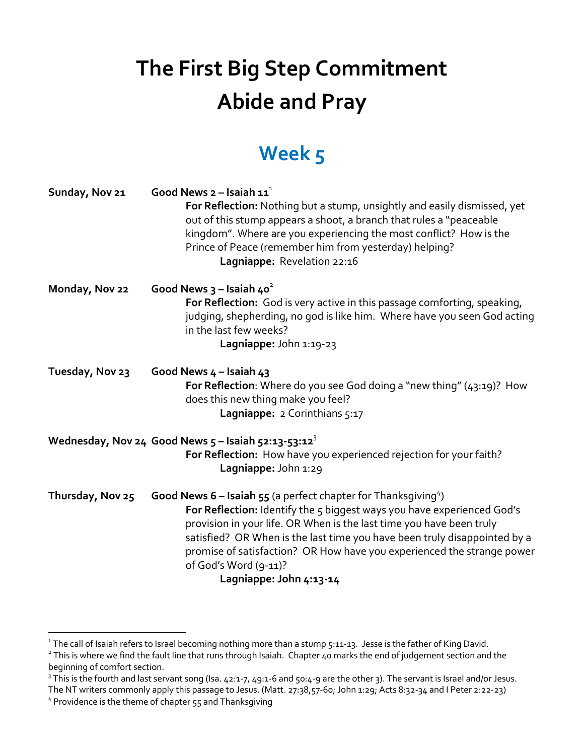## **The First Big Step Commitment Abide and Pray**

## **Week 5**

| Sunday, Nov 21   | Good News $2$ – Isaiah $11^1$<br>For Reflection: Nothing but a stump, unsightly and easily dismissed, yet<br>out of this stump appears a shoot, a branch that rules a "peaceable<br>kingdom". Where are you experiencing the most conflict? How is the<br>Prince of Peace (remember him from yesterday) helping?<br>Lagniappe: Revelation 22:16                                                                                                |
|------------------|------------------------------------------------------------------------------------------------------------------------------------------------------------------------------------------------------------------------------------------------------------------------------------------------------------------------------------------------------------------------------------------------------------------------------------------------|
| Monday, Nov 22   | Good News $3 -$ Isaiah 40 <sup>2</sup><br>For Reflection: God is very active in this passage comforting, speaking,<br>judging, shepherding, no god is like him. Where have you seen God acting<br>in the last few weeks?<br>Lagniappe: John 1:19-23                                                                                                                                                                                            |
| Tuesday, Nov 23  | Good News $4 -$ Isaiah $43$<br>For Reflection: Where do you see God doing a "new thing" (43:19)? How<br>does this new thing make you feel?<br>Lagniappe: 2 Corinthians 5:17                                                                                                                                                                                                                                                                    |
|                  | Wednesday, Nov 24 Good News $5$ – Isaiah $52:13 \cdot 53:12^3$<br>For Reflection: How have you experienced rejection for your faith?<br>Lagniappe: John 1:29                                                                                                                                                                                                                                                                                   |
| Thursday, Nov 25 | <b>Good News 6 – Isaiah 55</b> (a perfect chapter for Thanksgiving <sup>4</sup> )<br>For Reflection: Identify the 5 biggest ways you have experienced God's<br>provision in your life. OR When is the last time you have been truly<br>satisfied? OR When is the last time you have been truly disappointed by a<br>promise of satisfaction? OR How have you experienced the strange power<br>of God's Word (9-11)?<br>Lagniappe: John 4:13-14 |

<sup>&</sup>lt;sup>1</sup> The call of Isaiah refers to Israel becoming nothing more than a stump 5:11-13. Jesse is the father of King David.

<sup>&</sup>lt;sup>2</sup> This is where we find the fault line that runs through Isaiah. Chapter 40 marks the end of judgement section and the beginning of comfort section.

 $3$  This is the fourth and last servant song (Isa. 42:1-7, 49:1-6 and 50:4-9 are the other 3). The servant is Israel and/or Jesus. The NT writers commonly apply this passage to Jesus. (Matt. 27:38,57-60; John 1:29; Acts 8:32-34 and I Peter 2:22-23)

<sup>4</sup> Providence is the theme of chapter 55 and Thanksgiving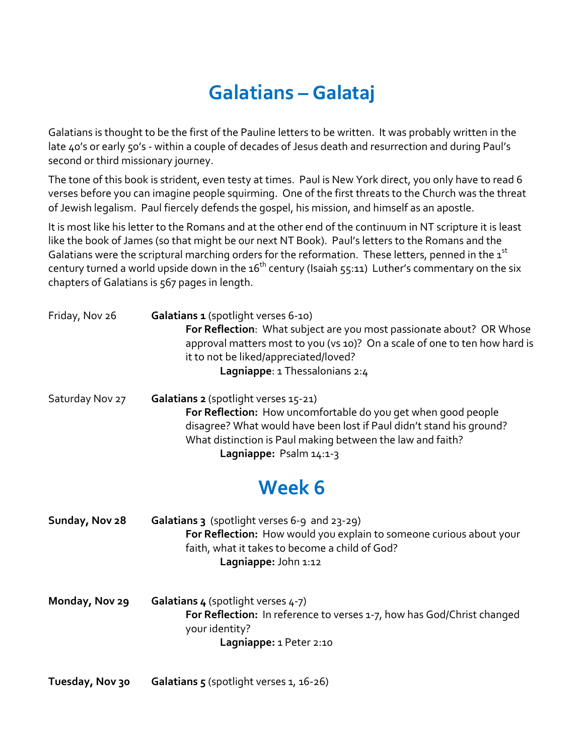## **Galatians – Galataj**

Galatians is thought to be the first of the Pauline letters to be written. It was probably written in the late 40's or early 50's - within a couple of decades of Jesus death and resurrection and during Paul's second or third missionary journey.

The tone of this book is strident, even testy at times. Paul is New York direct, you only have to read 6 verses before you can imagine people squirming. One of the first threats to the Church was the threat of Jewish legalism. Paul fiercely defends the gospel, his mission, and himself as an apostle.

It is most like his letter to the Romans and at the other end of the continuum in NT scripture it is least like the book of James (so that might be our next NT Book). Paul's letters to the Romans and the Galatians were the scriptural marching orders for the reformation. These letters, penned in the  $\texttt{1}^{\text{st}}$ century turned a world upside down in the 16<sup>th</sup> century (Isaiah 55:11) Luther's commentary on the six chapters of Galatians is 567 pages in length.

| Friday, Nov 26  | Galatians 1 (spotlight verses 6-10)<br>For Reflection: What subject are you most passionate about? OR Whose<br>approval matters most to you (vs 10)? On a scale of one to ten how hard is<br>it to not be liked/appreciated/loved?<br>Lagniappe: 1 Thessalonians 2:4   |  |
|-----------------|------------------------------------------------------------------------------------------------------------------------------------------------------------------------------------------------------------------------------------------------------------------------|--|
| Saturday Nov 27 | Galatians 2 (spotlight verses 15-21)<br>For Reflection: How uncomfortable do you get when good people<br>disagree? What would have been lost if Paul didn't stand his ground?<br>What distinction is Paul making between the law and faith?<br>Lagniappe: Psalm 14:1-3 |  |
| Week 6          |                                                                                                                                                                                                                                                                        |  |
| Sunday, Nov 28  | Galatians 3 (spotlight verses 6-9 and 23-29)<br>For Reflection: How would you explain to someone curious about your<br>faith, what it takes to become a child of God?<br>Lagniappe: John 1:12                                                                          |  |
| Monday, Nov 29  | Galatians 4 (spotlight verses 4-7)<br>For Reflection: In reference to verses 1-7, how has God/Christ changed<br>your identity?<br>Lagniappe: 1 Peter 2:10                                                                                                              |  |

**Tuesday, Nov 30 Galatians 5** (spotlight verses 1, 16-26)